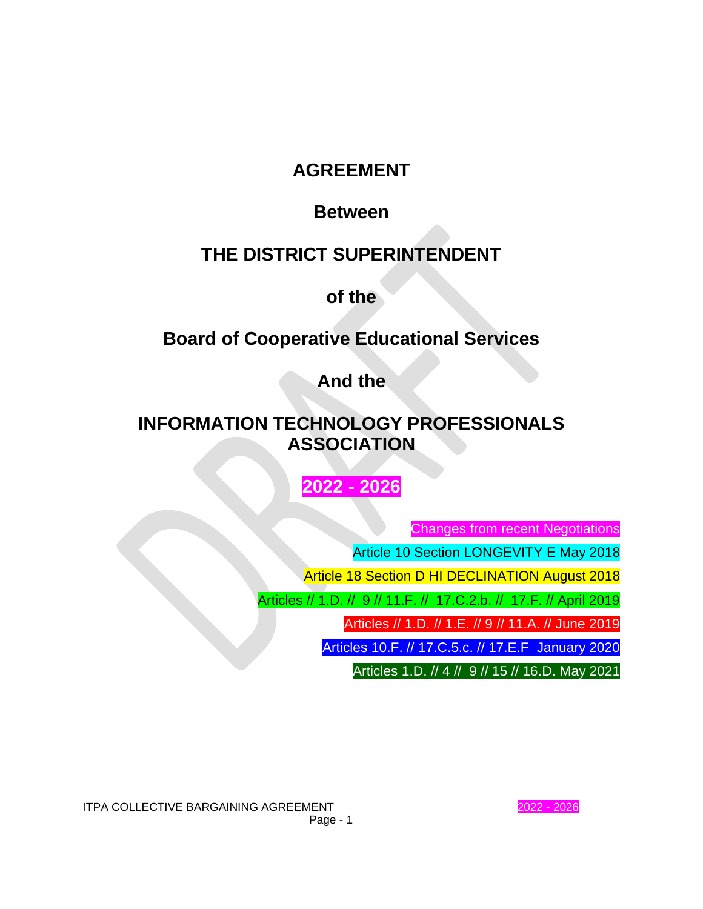# **AGREEMENT**

# **Between**

# **THE DISTRICT SUPERINTENDENT**

**of the**

# **Board of Cooperative Educational Services**

**And the**

# **INFORMATION TECHNOLOGY PROFESSIONALS ASSOCIATION**

# **2022 - 2026**

Changes from recent Negotiations

Article 10 Section LONGEVITY E May 2018

Article 18 Section D HI DECLINATION August 2018

Articles // 1.D. // 9 // 11.F. // 17.C.2.b. // 17.F. // April 2019

Articles // 1.D. // 1.E. // 9 // 11.A. // June 2019

Articles 10.F. // 17.C.5.c. // 17.E.F January 2020

Articles 1.D. // 4 // 9 // 15 // 16.D. May 2021

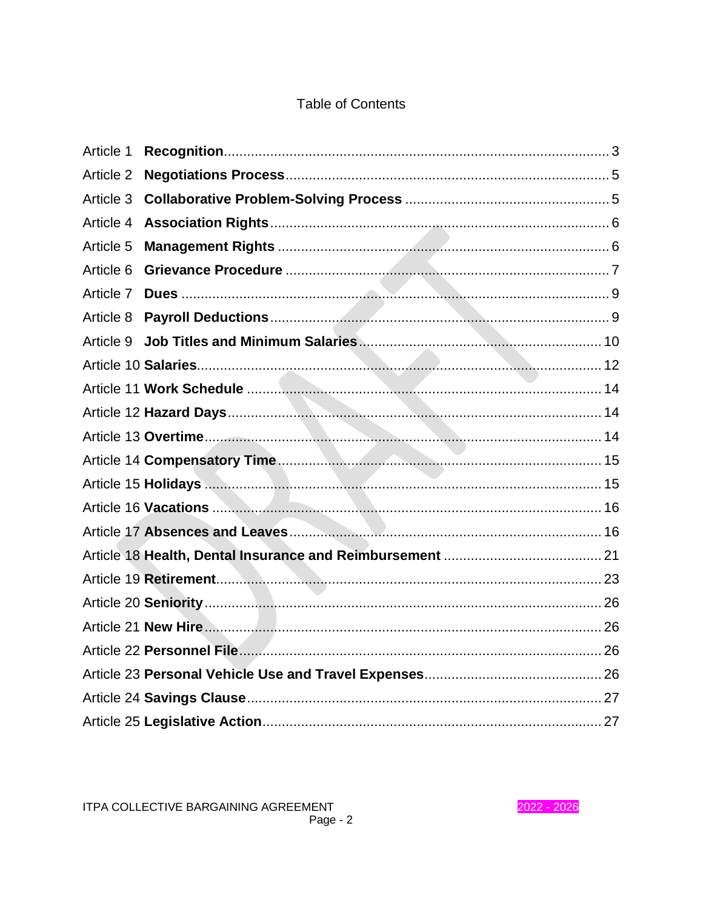# **Table of Contents**

| Article 1 |  |
|-----------|--|
| Article 2 |  |
| Article 3 |  |
| Article 4 |  |
| Article 5 |  |
| Article 6 |  |
| Article 7 |  |
| Article 8 |  |
| Article 9 |  |
|           |  |
|           |  |
|           |  |
|           |  |
|           |  |
|           |  |
|           |  |
|           |  |
|           |  |
|           |  |
|           |  |
|           |  |
|           |  |
|           |  |
|           |  |
|           |  |

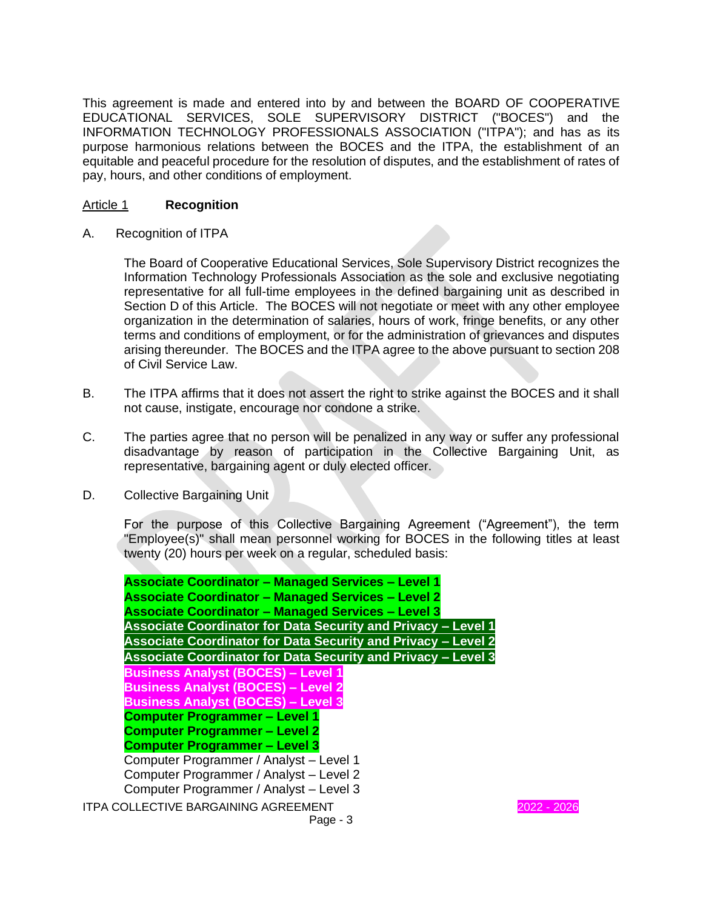This agreement is made and entered into by and between the BOARD OF COOPERATIVE EDUCATIONAL SERVICES, SOLE SUPERVISORY DISTRICT ("BOCES") and the INFORMATION TECHNOLOGY PROFESSIONALS ASSOCIATION ("ITPA"); and has as its purpose harmonious relations between the BOCES and the ITPA, the establishment of an equitable and peaceful procedure for the resolution of disputes, and the establishment of rates of pay, hours, and other conditions of employment.

# Article 1 **Recognition**

A. Recognition of ITPA

The Board of Cooperative Educational Services, Sole Supervisory District recognizes the Information Technology Professionals Association as the sole and exclusive negotiating representative for all full-time employees in the defined bargaining unit as described in Section D of this Article. The BOCES will not negotiate or meet with any other employee organization in the determination of salaries, hours of work, fringe benefits, or any other terms and conditions of employment, or for the administration of grievances and disputes arising thereunder. The BOCES and the ITPA agree to the above pursuant to section 208 of Civil Service Law.

- B. The ITPA affirms that it does not assert the right to strike against the BOCES and it shall not cause, instigate, encourage nor condone a strike.
- C. The parties agree that no person will be penalized in any way or suffer any professional disadvantage by reason of participation in the Collective Bargaining Unit, as representative, bargaining agent or duly elected officer.
- D. Collective Bargaining Unit

For the purpose of this Collective Bargaining Agreement ("Agreement"), the term "Employee(s)" shall mean personnel working for BOCES in the following titles at least twenty (20) hours per week on a regular, scheduled basis:

| <b>Associate Coordinator - Managed Services - Level 1</b>            |             |
|----------------------------------------------------------------------|-------------|
| <b>Associate Coordinator - Managed Services - Level 2</b>            |             |
| <b>Associate Coordinator - Managed Services - Level 3</b>            |             |
| Associate Coordinator for Data Security and Privacy - Level 1        |             |
| <b>Associate Coordinator for Data Security and Privacy - Level 2</b> |             |
| <b>Associate Coordinator for Data Security and Privacy - Level 3</b> |             |
| <b>Business Analyst (BOCES) - Level 1</b>                            |             |
| <b>Business Analyst (BOCES) - Level 2</b>                            |             |
| <b>Business Analyst (BOCES) - Level 3</b>                            |             |
| <b>Computer Programmer - Level 1</b>                                 |             |
| <b>Computer Programmer - Level 2</b>                                 |             |
| <b>Computer Programmer - Level 3</b>                                 |             |
| Computer Programmer / Analyst - Level 1                              |             |
| Computer Programmer / Analyst - Level 2                              |             |
| Computer Programmer / Analyst - Level 3                              |             |
| <b>ITPA COLLECTIVE BARGAINING AGREEMENT</b>                          | 2022 - 2026 |
| Page - $3$                                                           |             |

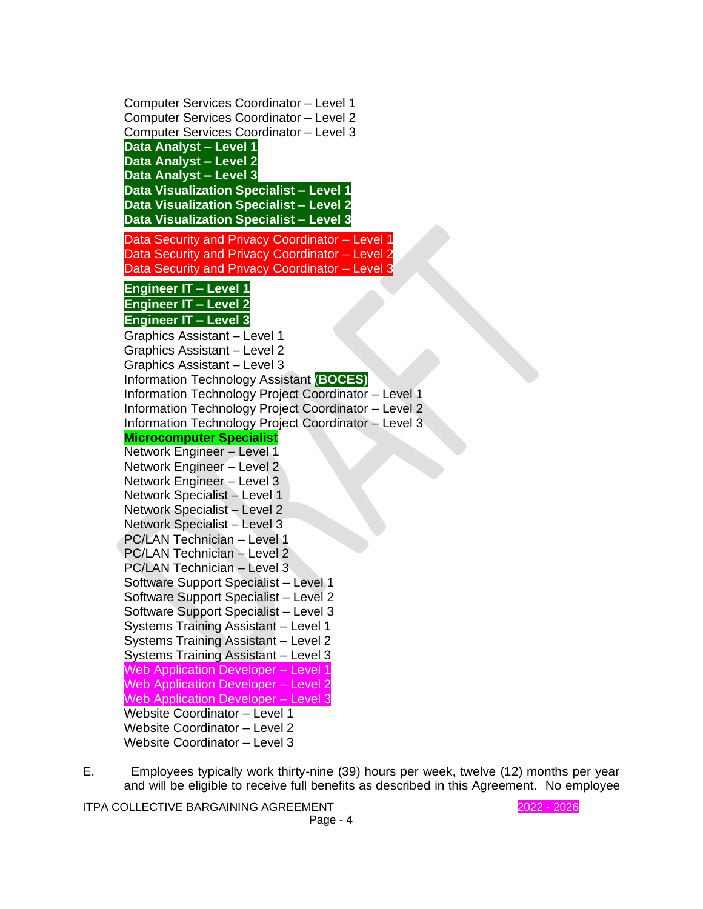Computer Services Coordinator – Level 1 Computer Services Coordinator – Level 2 Computer Services Coordinator – Level 3 **Data Analyst – Level 1 Data Analyst – Level 2 Data Analyst – Level 3 Data Visualization Specialist – Level 1 Data Visualization Specialist – Level 2 Data Visualization Specialist – Level 3** Data Security and Privacy Coordinator – Level 1 Data Security and Privacy Coordinator – Level 2 Data Security and Privacy Coordinator - Level 3 **Engineer IT – Level 1 Engineer IT – Level 2 Engineer IT – Level 3** Graphics Assistant – Level 1 Graphics Assistant – Level 2 Graphics Assistant – Level 3 Information Technology Assistant (**BOCES)** Information Technology Project Coordinator – Level 1 Information Technology Project Coordinator – Level 2 Information Technology Project Coordinator – Level 3 **Microcomputer Specialist** Network Engineer – Level 1 Network Engineer – Level 2 Network Engineer – Level 3 Network Specialist – Level 1 Network Specialist – Level 2 Network Specialist – Level 3 PC/LAN Technician – Level 1 PC/LAN Technician – Level 2 PC/LAN Technician – Level 3 Software Support Specialist – Level 1 Software Support Specialist – Level 2 Software Support Specialist – Level 3 Systems Training Assistant – Level 1 Systems Training Assistant – Level 2 Systems Training Assistant – Level 3 Web Application Developer – Level 1 Web Application Developer – Level 2 Web Application Developer – Level 3 Website Coordinator – Level 1 Website Coordinator – Level 2 Website Coordinator – Level 3

E. Employees typically work thirty-nine (39) hours per week, twelve (12) months per year and will be eligible to receive full benefits as described in this Agreement. No employee

ITPA COLLECTIVE BARGAINING AGREEMENT **1999 12021 - 2026** 2022 - 2026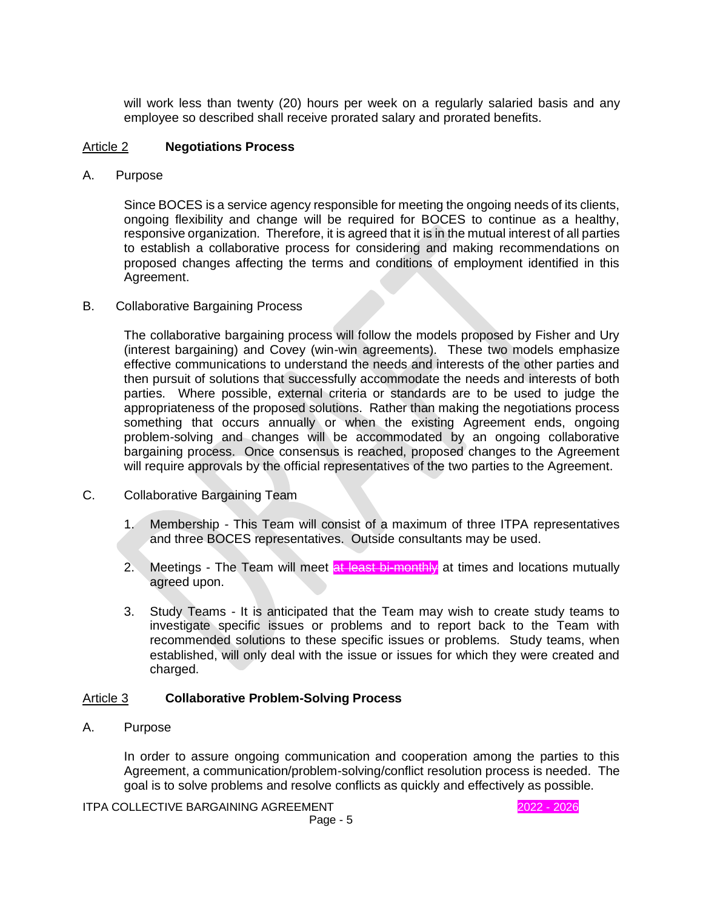will work less than twenty (20) hours per week on a regularly salaried basis and any employee so described shall receive prorated salary and prorated benefits.

### Article 2 **Negotiations Process**

A. Purpose

Since BOCES is a service agency responsible for meeting the ongoing needs of its clients, ongoing flexibility and change will be required for BOCES to continue as a healthy, responsive organization. Therefore, it is agreed that it is in the mutual interest of all parties to establish a collaborative process for considering and making recommendations on proposed changes affecting the terms and conditions of employment identified in this Agreement.

B. Collaborative Bargaining Process

The collaborative bargaining process will follow the models proposed by Fisher and Ury (interest bargaining) and Covey (win-win agreements). These two models emphasize effective communications to understand the needs and interests of the other parties and then pursuit of solutions that successfully accommodate the needs and interests of both parties. Where possible, external criteria or standards are to be used to judge the appropriateness of the proposed solutions. Rather than making the negotiations process something that occurs annually or when the existing Agreement ends, ongoing problem-solving and changes will be accommodated by an ongoing collaborative bargaining process. Once consensus is reached, proposed changes to the Agreement will require approvals by the official representatives of the two parties to the Agreement.

- C. Collaborative Bargaining Team
	- 1. Membership This Team will consist of a maximum of three ITPA representatives and three BOCES representatives. Outside consultants may be used.
	- 2. Meetings The Team will meet at least bi-monthly at times and locations mutually agreed upon.
	- 3. Study Teams It is anticipated that the Team may wish to create study teams to investigate specific issues or problems and to report back to the Team with recommended solutions to these specific issues or problems. Study teams, when established, will only deal with the issue or issues for which they were created and charged.

# Article 3 **Collaborative Problem-Solving Process**

A. Purpose

In order to assure ongoing communication and cooperation among the parties to this Agreement, a communication/problem-solving/conflict resolution process is needed. The goal is to solve problems and resolve conflicts as quickly and effectively as possible.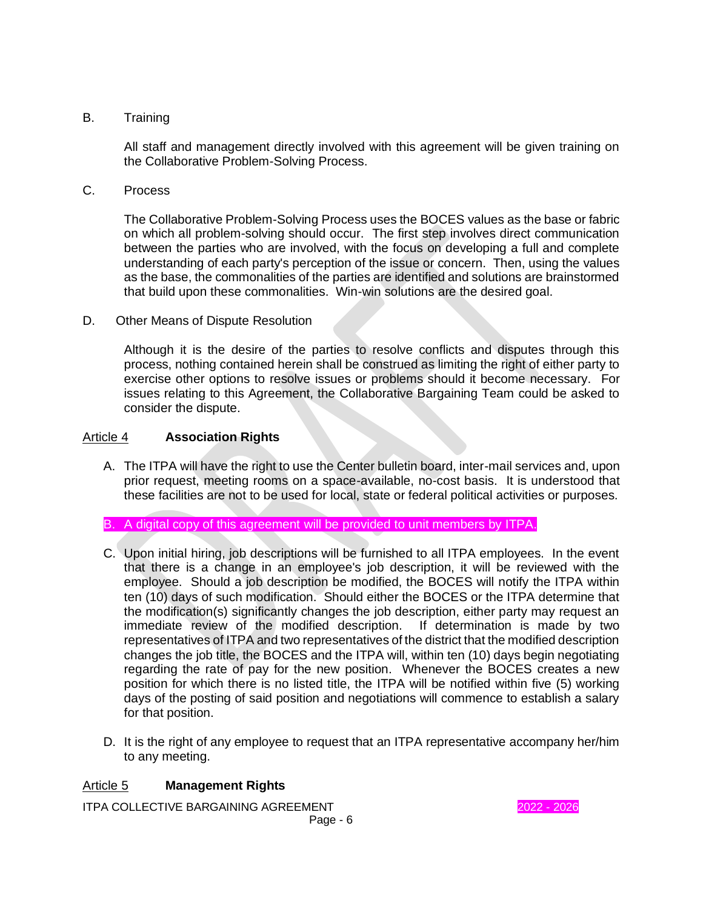# B. Training

All staff and management directly involved with this agreement will be given training on the Collaborative Problem-Solving Process.

C. Process

The Collaborative Problem-Solving Process uses the BOCES values as the base or fabric on which all problem-solving should occur. The first step involves direct communication between the parties who are involved, with the focus on developing a full and complete understanding of each party's perception of the issue or concern. Then, using the values as the base, the commonalities of the parties are identified and solutions are brainstormed that build upon these commonalities. Win-win solutions are the desired goal.

D. Other Means of Dispute Resolution

Although it is the desire of the parties to resolve conflicts and disputes through this process, nothing contained herein shall be construed as limiting the right of either party to exercise other options to resolve issues or problems should it become necessary. For issues relating to this Agreement, the Collaborative Bargaining Team could be asked to consider the dispute.

# Article 4 **Association Rights**

- A. The ITPA will have the right to use the Center bulletin board, inter-mail services and, upon prior request, meeting rooms on a space-available, no-cost basis. It is understood that these facilities are not to be used for local, state or federal political activities or purposes.
- B. A digital copy of this agreement will be provided to unit members by ITPA.
- C. Upon initial hiring, job descriptions will be furnished to all ITPA employees. In the event that there is a change in an employee's job description, it will be reviewed with the employee. Should a job description be modified, the BOCES will notify the ITPA within ten (10) days of such modification. Should either the BOCES or the ITPA determine that the modification(s) significantly changes the job description, either party may request an immediate review of the modified description. If determination is made by two representatives of ITPA and two representatives of the district that the modified description changes the job title, the BOCES and the ITPA will, within ten (10) days begin negotiating regarding the rate of pay for the new position. Whenever the BOCES creates a new position for which there is no listed title, the ITPA will be notified within five (5) working days of the posting of said position and negotiations will commence to establish a salary for that position.
- D. It is the right of any employee to request that an ITPA representative accompany her/him to any meeting.

# Article 5 **Management Rights**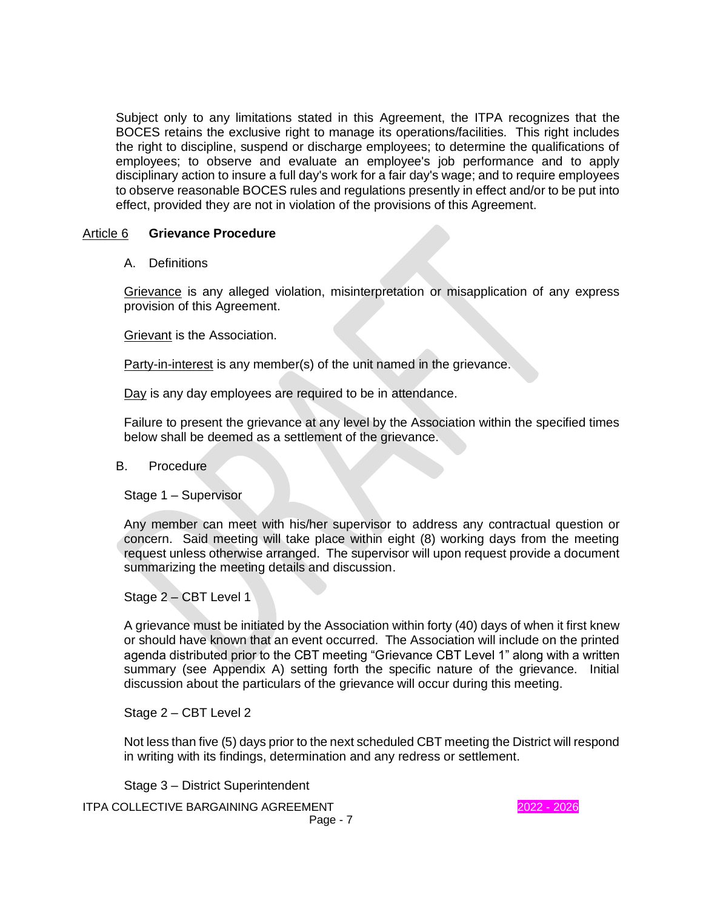Subject only to any limitations stated in this Agreement, the ITPA recognizes that the BOCES retains the exclusive right to manage its operations/facilities. This right includes the right to discipline, suspend or discharge employees; to determine the qualifications of employees; to observe and evaluate an employee's job performance and to apply disciplinary action to insure a full day's work for a fair day's wage; and to require employees to observe reasonable BOCES rules and regulations presently in effect and/or to be put into effect, provided they are not in violation of the provisions of this Agreement.

### Article 6 **Grievance Procedure**

A. Definitions

Grievance is any alleged violation, misinterpretation or misapplication of any express provision of this Agreement.

Grievant is the Association.

Party-in-interest is any member(s) of the unit named in the grievance.

Day is any day employees are required to be in attendance.

Failure to present the grievance at any level by the Association within the specified times below shall be deemed as a settlement of the grievance.

#### B. Procedure

Stage 1 – Supervisor

Any member can meet with his/her supervisor to address any contractual question or concern. Said meeting will take place within eight (8) working days from the meeting request unless otherwise arranged. The supervisor will upon request provide a document summarizing the meeting details and discussion.

Stage 2 – CBT Level 1

A grievance must be initiated by the Association within forty (40) days of when it first knew or should have known that an event occurred. The Association will include on the printed agenda distributed prior to the CBT meeting "Grievance CBT Level 1" along with a written summary (see Appendix A) setting forth the specific nature of the grievance. Initial discussion about the particulars of the grievance will occur during this meeting.

Stage 2 – CBT Level 2

Not less than five (5) days prior to the next scheduled CBT meeting the District will respond in writing with its findings, determination and any redress or settlement.

Stage 3 – District Superintendent

ITPA COLLECTIVE BARGAINING AGREEMENT 2022 - 2026

Page - 7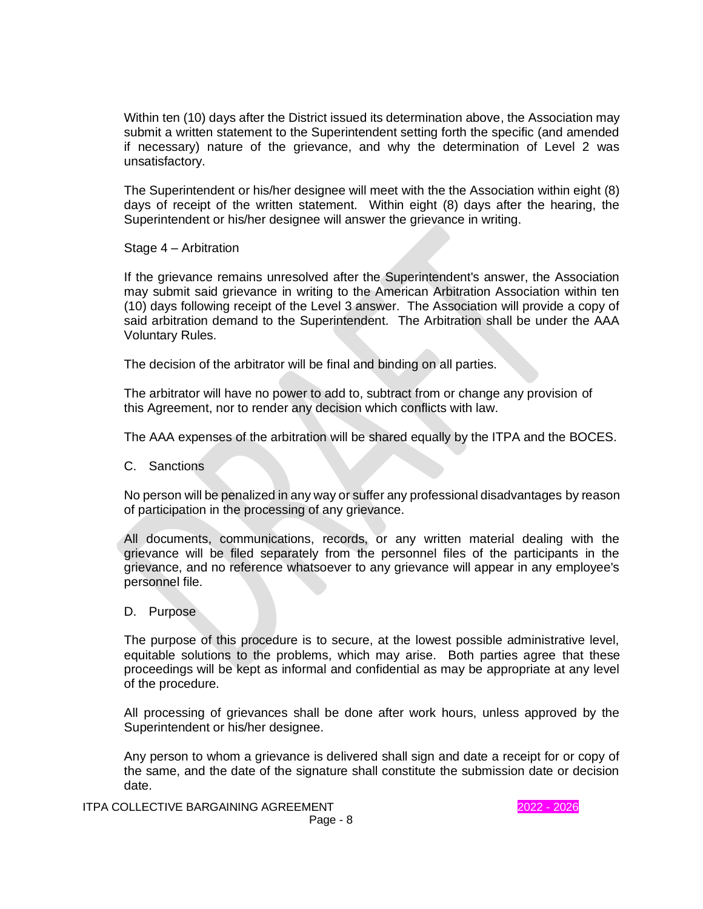Within ten (10) days after the District issued its determination above, the Association may submit a written statement to the Superintendent setting forth the specific (and amended if necessary) nature of the grievance, and why the determination of Level 2 was unsatisfactory.

The Superintendent or his/her designee will meet with the the Association within eight (8) days of receipt of the written statement. Within eight (8) days after the hearing, the Superintendent or his/her designee will answer the grievance in writing.

Stage 4 – Arbitration

If the grievance remains unresolved after the Superintendent's answer, the Association may submit said grievance in writing to the American Arbitration Association within ten (10) days following receipt of the Level 3 answer. The Association will provide a copy of said arbitration demand to the Superintendent. The Arbitration shall be under the AAA Voluntary Rules.

The decision of the arbitrator will be final and binding on all parties.

The arbitrator will have no power to add to, subtract from or change any provision of this Agreement, nor to render any decision which conflicts with law.

The AAA expenses of the arbitration will be shared equally by the ITPA and the BOCES.

C. Sanctions

No person will be penalized in any way or suffer any professional disadvantages by reason of participation in the processing of any grievance.

All documents, communications, records, or any written material dealing with the grievance will be filed separately from the personnel files of the participants in the grievance, and no reference whatsoever to any grievance will appear in any employee's personnel file.

D. Purpose

The purpose of this procedure is to secure, at the lowest possible administrative level, equitable solutions to the problems, which may arise. Both parties agree that these proceedings will be kept as informal and confidential as may be appropriate at any level of the procedure.

All processing of grievances shall be done after work hours, unless approved by the Superintendent or his/her designee.

Any person to whom a grievance is delivered shall sign and date a receipt for or copy of the same, and the date of the signature shall constitute the submission date or decision date.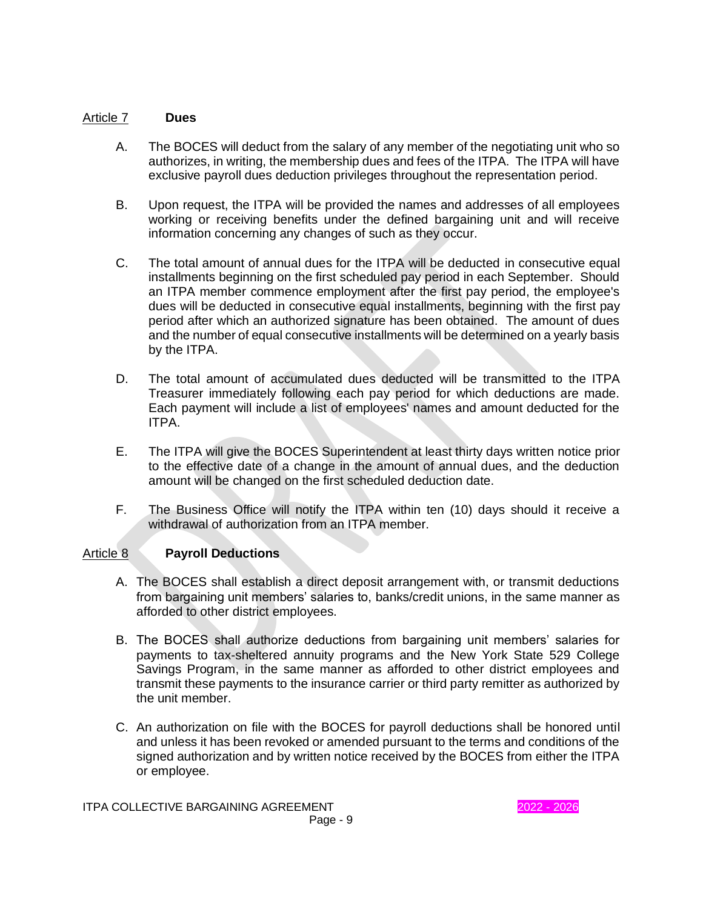# Article 7 **Dues**

- A. The BOCES will deduct from the salary of any member of the negotiating unit who so authorizes, in writing, the membership dues and fees of the ITPA. The ITPA will have exclusive payroll dues deduction privileges throughout the representation period.
- B. Upon request, the ITPA will be provided the names and addresses of all employees working or receiving benefits under the defined bargaining unit and will receive information concerning any changes of such as they occur.
- C. The total amount of annual dues for the ITPA will be deducted in consecutive equal installments beginning on the first scheduled pay period in each September. Should an ITPA member commence employment after the first pay period, the employee's dues will be deducted in consecutive equal installments, beginning with the first pay period after which an authorized signature has been obtained. The amount of dues and the number of equal consecutive installments will be determined on a yearly basis by the ITPA.
- D. The total amount of accumulated dues deducted will be transmitted to the ITPA Treasurer immediately following each pay period for which deductions are made. Each payment will include a list of employees' names and amount deducted for the ITPA.
- E. The ITPA will give the BOCES Superintendent at least thirty days written notice prior to the effective date of a change in the amount of annual dues, and the deduction amount will be changed on the first scheduled deduction date.
- F. The Business Office will notify the ITPA within ten (10) days should it receive a withdrawal of authorization from an ITPA member.

# Article 8 **Payroll Deductions**

- A. The BOCES shall establish a direct deposit arrangement with, or transmit deductions from bargaining unit members' salaries to, banks/credit unions, in the same manner as afforded to other district employees.
- B. The BOCES shall authorize deductions from bargaining unit members' salaries for payments to tax-sheltered annuity programs and the New York State 529 College Savings Program, in the same manner as afforded to other district employees and transmit these payments to the insurance carrier or third party remitter as authorized by the unit member.
- C. An authorization on file with the BOCES for payroll deductions shall be honored until and unless it has been revoked or amended pursuant to the terms and conditions of the signed authorization and by written notice received by the BOCES from either the ITPA or employee.

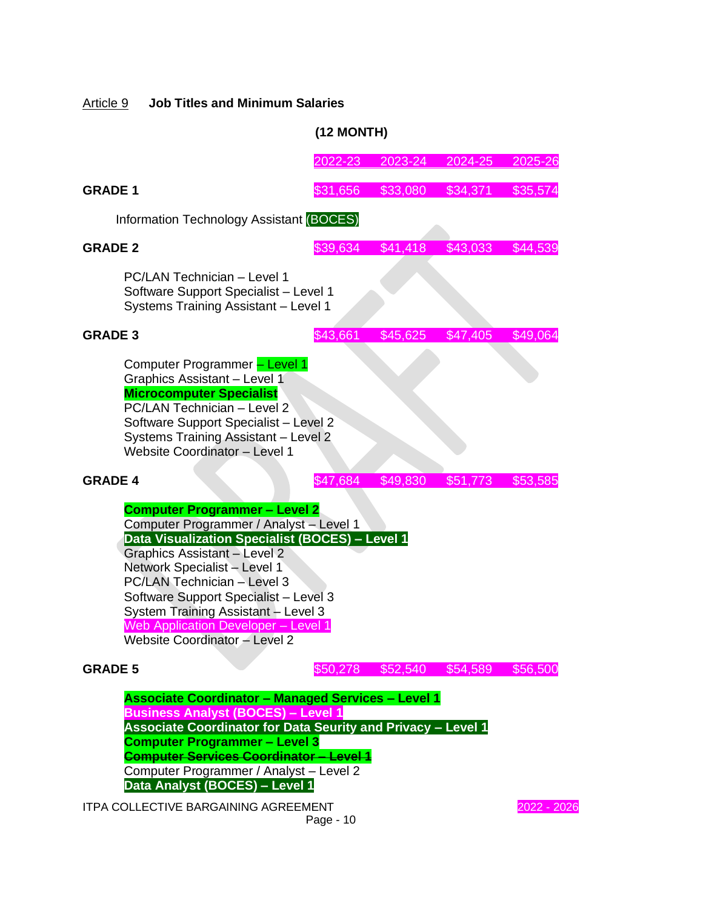# Article 9 **Job Titles and Minimum Salaries**

# **(12 MONTH)**

|                                                                                                                                                                                                                                                                                                                                                                                              | 2022-23                                         | 2023-24                    | 2024-25  | 2025-26     |  |  |
|----------------------------------------------------------------------------------------------------------------------------------------------------------------------------------------------------------------------------------------------------------------------------------------------------------------------------------------------------------------------------------------------|-------------------------------------------------|----------------------------|----------|-------------|--|--|
| <b>GRADE 1</b>                                                                                                                                                                                                                                                                                                                                                                               | \$31,656                                        | \$33,080                   | \$34,371 | \$35,574    |  |  |
|                                                                                                                                                                                                                                                                                                                                                                                              | <b>Information Technology Assistant (BOCES)</b> |                            |          |             |  |  |
| <b>GRADE 2</b>                                                                                                                                                                                                                                                                                                                                                                               | \$39,634                                        | \$41,418                   | \$43,033 | \$44,539    |  |  |
| PC/LAN Technician - Level 1<br>Software Support Specialist - Level 1<br>Systems Training Assistant - Level 1                                                                                                                                                                                                                                                                                 |                                                 |                            |          |             |  |  |
| <b>GRADE 3</b>                                                                                                                                                                                                                                                                                                                                                                               | \$43,661                                        | \$45,625                   | \$47,405 | \$49,064    |  |  |
| Computer Programmer - Level 1<br>Graphics Assistant - Level 1<br><b>Microcomputer Specialist</b><br>PC/LAN Technician - Level 2<br>Software Support Specialist - Level 2<br>Systems Training Assistant - Level 2<br>Website Coordinator - Level 1                                                                                                                                            |                                                 |                            |          |             |  |  |
| <b>GRADE 4</b>                                                                                                                                                                                                                                                                                                                                                                               | \$49,830                                        | \$51,773                   | \$53,585 |             |  |  |
| <b>Computer Programmer - Level 2</b><br>Computer Programmer / Analyst - Level 1<br>Data Visualization Specialist (BOCES) - Level 1<br>Graphics Assistant - Level 2<br>Network Specialist - Level 1<br>PC/LAN Technician - Level 3<br>Software Support Specialist - Level 3<br>System Training Assistant - Level 3<br>Web Application Developer - Level 1<br>Website Coordinator - Level 2    |                                                 |                            |          |             |  |  |
| <b>GRADE 5</b>                                                                                                                                                                                                                                                                                                                                                                               |                                                 | \$50,278 \$52,540 \$54,589 |          | \$56,500    |  |  |
| <b>Associate Coordinator - Managed Services - Level 1</b><br><b>Business Analyst (BOCES) - Level 1</b><br><b>Associate Coordinator for Data Seurity and Privacy - Level 1</b><br><b>Computer Programmer - Level 3</b><br><b>Computer Services Coordinator - Level 1</b><br>Computer Programmer / Analyst - Level 2<br>Data Analyst (BOCES) - Level 1<br>ITPA COLLECTIVE BARGAINING AGREEMENT |                                                 |                            |          | 2022 - 2026 |  |  |

Page - 10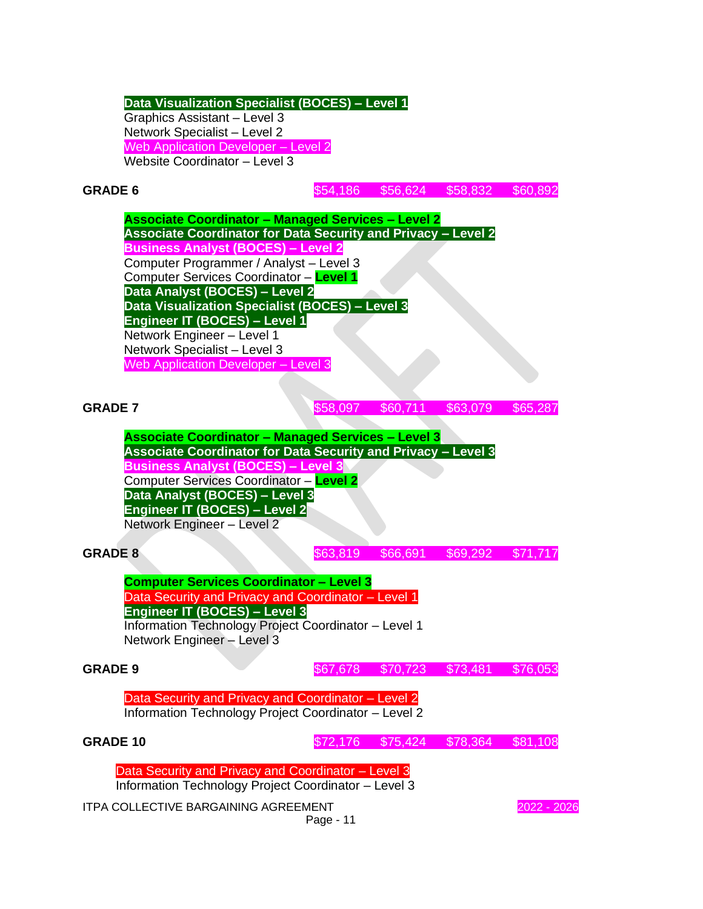#### **Data Visualization Specialist (BOCES) – Level 1** Graphics Assistant – Level 3

Network Specialist – Level 2 Web Application Developer - Level 2 Website Coordinator – Level 3

**GRADE 6** \$54,186 \$56,624 \$58,832 \$60,892

**Associate Coordinator – Managed Services – Level 2 Associate Coordinator for Data Security and Privacy – Level 2 Business Analyst (BOCES) – Level 2** Computer Programmer / Analyst – Level 3 Computer Services Coordinator – **Level 1 Data Analyst (BOCES) – Level 2 Data Visualization Specialist (BOCES) – Level 3 Engineer IT (BOCES) – Level 1** Network Engineer – Level 1 Network Specialist – Level 3 Web Application Developer – Level 3

**GRADE 7** \$58,097 \$60,711 \$63,079 \$65,287

**Associate Coordinator – Managed Services – Level 3 Associate Coordinator for Data Security and Privacy – Level 3 Business Analyst (BOCES) – Level 3** Computer Services Coordinator – **Level 2 Data Analyst (BOCES) – Level 3 Engineer IT (BOCES) – Level 2** Network Engineer – Level 2

**GRADE 8** \$63,819 \$66,691 \$69,292 \$71,717

**Computer Services Coordinator – Level 3** Data Security and Privacy and Coordinator – Level 1 **Engineer IT (BOCES) – Level 3**

Information Technology Project Coordinator – Level 1 Network Engineer – Level 3

**GRADE 9** \$67,678 \$70,723 \$73,481 \$76,053

Data Security and Privacy and Coordinator – Level 2 Information Technology Project Coordinator – Level 2

**GRADE 10 572,176 \$72,176 \$75,424 \$78,364 \$81,108** 

Data Security and Privacy and Coordinator – Level 3

Information Technology Project Coordinator – Level 3

ITPA COLLECTIVE BARGAINING AGREEMENT 2022 - 2026

Page - 11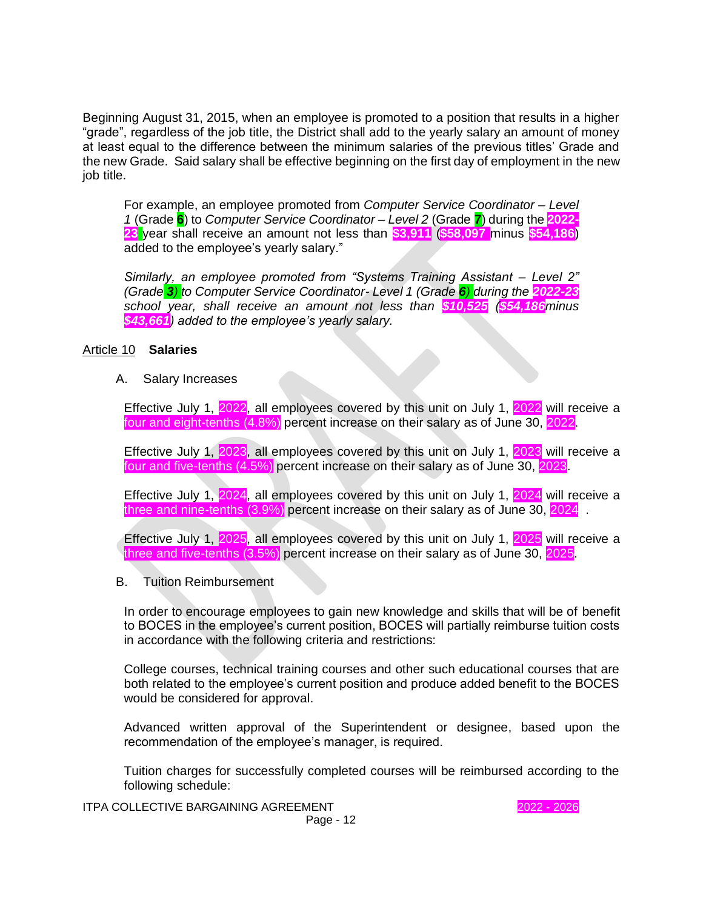Beginning August 31, 2015, when an employee is promoted to a position that results in a higher "grade", regardless of the job title, the District shall add to the yearly salary an amount of money at least equal to the difference between the minimum salaries of the previous titles' Grade and the new Grade. Said salary shall be effective beginning on the first day of employment in the new job title.

For example, an employee promoted from *Computer Service Coordinator – Level 1* (Grade **6**) to *Computer Service Coordinator – Level 2* (Grade **7**) during the **2022- 23** year shall receive an amount not less than **\$3,911** (**\$58,097** minus **\$54,186**) added to the employee's yearly salary."

*Similarly, an employee promoted from "Systems Training Assistant – Level 2" (Grade 3) to Computer Service Coordinator- Level 1 (Grade 6) during the 2022-23 school year, shall receive an amount not less than \$10,525 (\$54,186minus \$43,661) added to the employee's yearly salary.*

### Article 10 **Salaries**

A. Salary Increases

Effective July 1, 2022, all employees covered by this unit on July 1, 2022 will receive a four and eight-tenths (4.8%) percent increase on their salary as of June 30, 2022.

Effective July 1, 2023, all employees covered by this unit on July 1, 2023 will receive a four and five-tenths (4.5%) percent increase on their salary as of June 30, 2023.

Effective July 1, 2024, all employees covered by this unit on July 1, 2024 will receive a three and nine-tenths  $(3.9\%)$  percent increase on their salary as of June 30, 2024

Effective July 1, 2025, all employees covered by this unit on July 1, 2025 will receive a three and five-tenths (3.5%) percent increase on their salary as of June 30, 2025.

#### B. Tuition Reimbursement

In order to encourage employees to gain new knowledge and skills that will be of benefit to BOCES in the employee's current position, BOCES will partially reimburse tuition costs in accordance with the following criteria and restrictions:

College courses, technical training courses and other such educational courses that are both related to the employee's current position and produce added benefit to the BOCES would be considered for approval.

Advanced written approval of the Superintendent or designee, based upon the recommendation of the employee's manager, is required.

Tuition charges for successfully completed courses will be reimbursed according to the following schedule: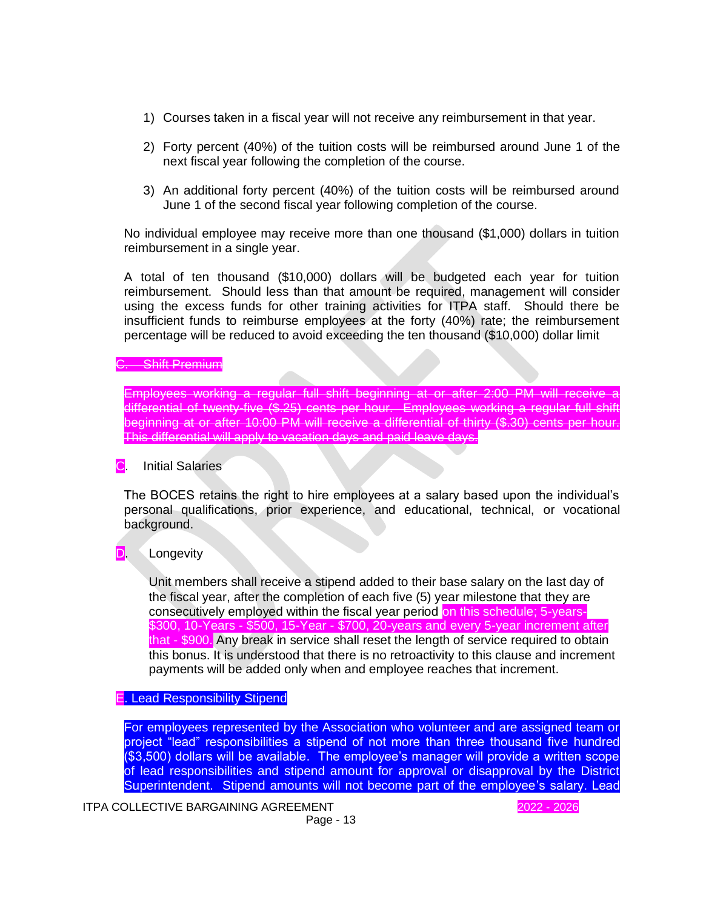- 1) Courses taken in a fiscal year will not receive any reimbursement in that year.
- 2) Forty percent (40%) of the tuition costs will be reimbursed around June 1 of the next fiscal year following the completion of the course.
- 3) An additional forty percent (40%) of the tuition costs will be reimbursed around June 1 of the second fiscal year following completion of the course.

No individual employee may receive more than one thousand (\$1,000) dollars in tuition reimbursement in a single year.

A total of ten thousand (\$10,000) dollars will be budgeted each year for tuition reimbursement. Should less than that amount be required, management will consider using the excess funds for other training activities for ITPA staff. Should there be insufficient funds to reimburse employees at the forty (40%) rate; the reimbursement percentage will be reduced to avoid exceeding the ten thousand (\$10,000) dollar limit

S. Shift Premium

Employees working a regular full shift beginning at or after 2:00 PM will receive a differential of twenty-five (\$.25) cents per hour. Employees working a regular full shift beginning at or after 10:00 PM will receive a differential of thirty (\$.30) cents per hour. This differential will apply to vacation days and paid leave days.

C. Initial Salaries

The BOCES retains the right to hire employees at a salary based upon the individual's personal qualifications, prior experience, and educational, technical, or vocational background.

# **D.** Longevity

Unit members shall receive a stipend added to their base salary on the last day of the fiscal year, after the completion of each five (5) year milestone that they are consecutively employed within the fiscal year period on this schedule; 5-years- \$300, 10-Years - \$500, 15-Year - \$700, 20-years and every 5-year increment after that - \$900. Any break in service shall reset the length of service required to obtain this bonus. It is understood that there is no retroactivity to this clause and increment payments will be added only when and employee reaches that increment.

E. Lead Responsibility Stipend

For employees represented by the Association who volunteer and are assigned team or project "lead" responsibilities a stipend of not more than three thousand five hundred (\$3,500) dollars will be available. The employee's manager will provide a written scope of lead responsibilities and stipend amount for approval or disapproval by the District Superintendent. Stipend amounts will not become part of the employee's salary. Lead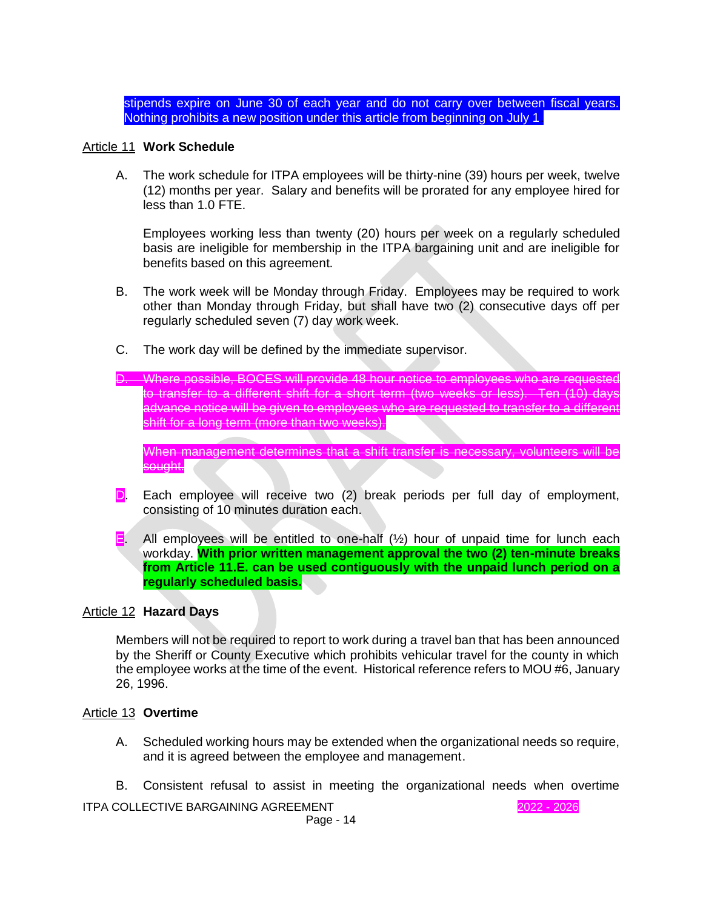stipends expire on June 30 of each year and do not carry over between fiscal years. Nothing prohibits a new position under this article from beginning on July 1.

### Article 11 **Work Schedule**

A. The work schedule for ITPA employees will be thirty-nine (39) hours per week, twelve (12) months per year. Salary and benefits will be prorated for any employee hired for less than 1.0 FTE.

Employees working less than twenty (20) hours per week on a regularly scheduled basis are ineligible for membership in the ITPA bargaining unit and are ineligible for benefits based on this agreement.

- B. The work week will be Monday through Friday. Employees may be required to work other than Monday through Friday, but shall have two (2) consecutive days off per regularly scheduled seven (7) day work week.
- C. The work day will be defined by the immediate supervisor.
- D. Where possible, BOCES will provide 48 hour notice to employees who are requested transfer to a different shift for a short term (two weeks or less). Ten (10) days advance notice will be given to employees who are requested to transfer to a different shift for a long term (more than two weeks).

When management determines that a shift transfer is necessary, volunteers will be sought.

- D. Each employee will receive two (2) break periods per full day of employment, consisting of 10 minutes duration each.
- **E.** All employees will be entitled to one-half  $(\frac{1}{2})$  hour of unpaid time for lunch each workday. **With prior written management approval the two (2) ten-minute breaks from Article 11.E. can be used contiguously with the unpaid lunch period on a regularly scheduled basis.**

#### Article 12 **Hazard Days**

Members will not be required to report to work during a travel ban that has been announced by the Sheriff or County Executive which prohibits vehicular travel for the county in which the employee works at the time of the event. Historical reference refers to MOU #6, January 26, 1996.

#### Article 13 **Overtime**

- A. Scheduled working hours may be extended when the organizational needs so require, and it is agreed between the employee and management.
- B. Consistent refusal to assist in meeting the organizational needs when overtime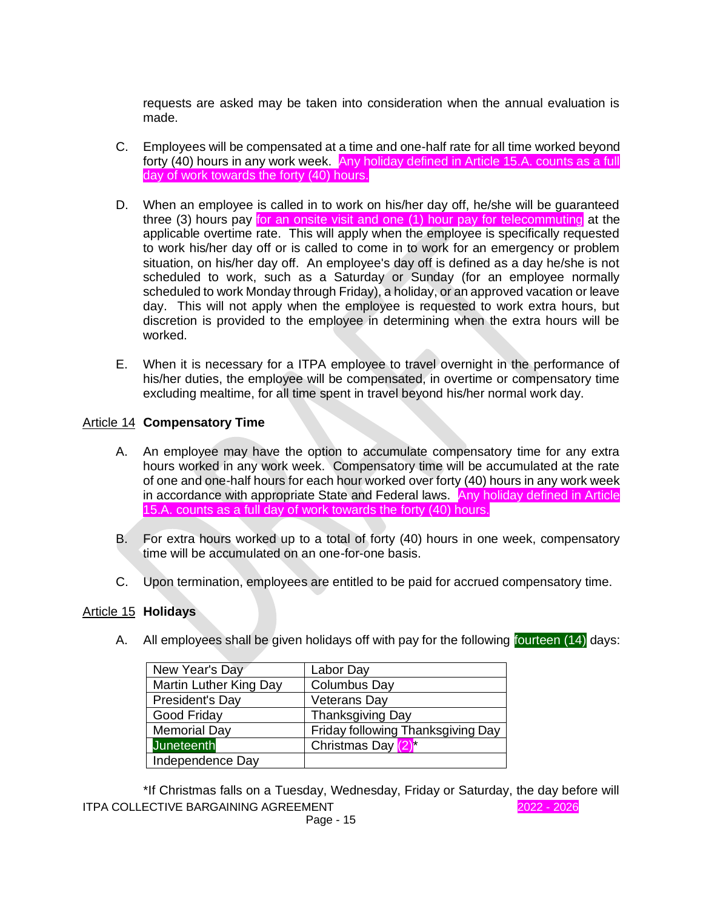requests are asked may be taken into consideration when the annual evaluation is made.

- C. Employees will be compensated at a time and one-half rate for all time worked beyond forty (40) hours in any work week. Any holiday defined in Article 15.A. counts as a full day of work towards the forty (40) hours.
- D. When an employee is called in to work on his/her day off, he/she will be guaranteed three (3) hours pay for an onsite visit and one (1) hour pay for telecommuting at the applicable overtime rate. This will apply when the employee is specifically requested to work his/her day off or is called to come in to work for an emergency or problem situation, on his/her day off. An employee's day off is defined as a day he/she is not scheduled to work, such as a Saturday or Sunday (for an employee normally scheduled to work Monday through Friday), a holiday, or an approved vacation or leave day. This will not apply when the employee is requested to work extra hours, but discretion is provided to the employee in determining when the extra hours will be worked.
- E. When it is necessary for a ITPA employee to travel overnight in the performance of his/her duties, the employee will be compensated, in overtime or compensatory time excluding mealtime, for all time spent in travel beyond his/her normal work day.

# Article 14 **Compensatory Time**

- A. An employee may have the option to accumulate compensatory time for any extra hours worked in any work week. Compensatory time will be accumulated at the rate of one and one-half hours for each hour worked over forty (40) hours in any work week in accordance with appropriate State and Federal laws. Any holiday defined in Article 15.A. counts as a full day of work towards the forty (40) hours.
- B. For extra hours worked up to a total of forty (40) hours in one week, compensatory time will be accumulated on an one-for-one basis.
- C. Upon termination, employees are entitled to be paid for accrued compensatory time.

# Article 15 **Holidays**

A. All employees shall be given holidays off with pay for the following fourteen (14) days:

| New Year's Day         | Labor Day                         |
|------------------------|-----------------------------------|
| Martin Luther King Day | <b>Columbus Day</b>               |
| President's Day        | <b>Veterans Day</b>               |
| Good Friday            | <b>Thanksgiving Day</b>           |
| <b>Memorial Day</b>    | Friday following Thanksgiving Day |
| <b>Juneteenth</b>      | Christmas Day (2) <sup>*</sup>    |
| Independence Day       |                                   |

ITPA COLLECTIVE BARGAINING AGREEMENT 2022 - 2026 \*If Christmas falls on a Tuesday, Wednesday, Friday or Saturday, the day before will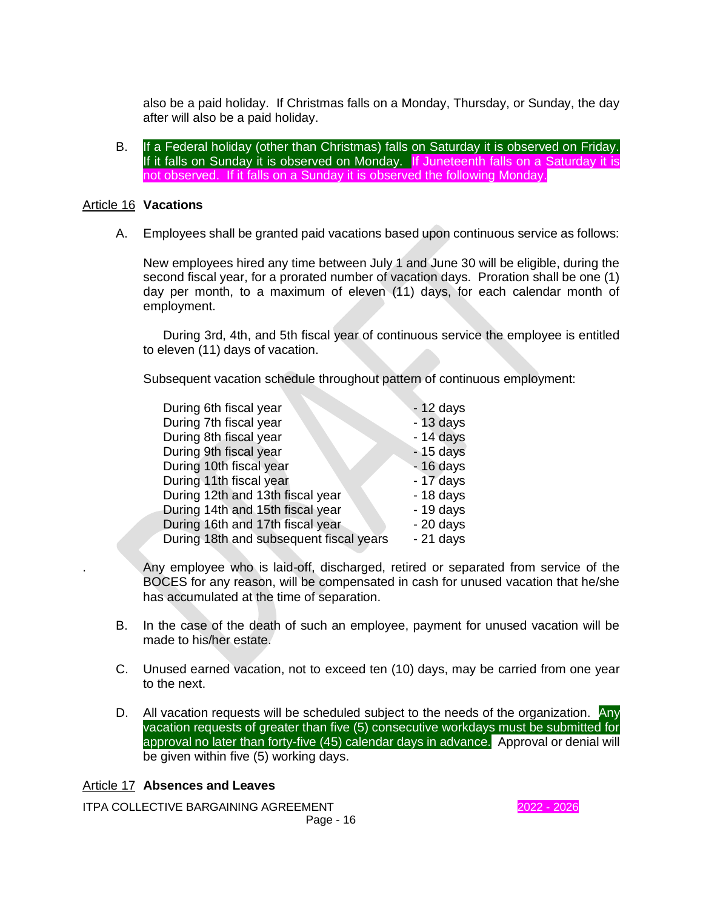also be a paid holiday. If Christmas falls on a Monday, Thursday, or Sunday, the day after will also be a paid holiday.

B. If a Federal holiday (other than Christmas) falls on Saturday it is observed on Friday. If it falls on Sunday it is observed on Monday. If Juneteenth falls on a Saturday it is not observed. If it falls on a Sunday it is observed the following Monday.

### Article 16 **Vacations**

A. Employees shall be granted paid vacations based upon continuous service as follows:

New employees hired any time between July 1 and June 30 will be eligible, during the second fiscal year, for a prorated number of vacation days. Proration shall be one (1) day per month, to a maximum of eleven (11) days, for each calendar month of employment.

During 3rd, 4th, and 5th fiscal year of continuous service the employee is entitled to eleven (11) days of vacation.

Subsequent vacation schedule throughout pattern of continuous employment:

| During 6th fiscal year                  | $-12$ days |
|-----------------------------------------|------------|
| During 7th fiscal year                  | $-13$ days |
| During 8th fiscal year                  | $-14$ days |
| During 9th fiscal year                  | $-15$ days |
| During 10th fiscal year                 | $-16$ days |
| During 11th fiscal year                 | $-17$ days |
| During 12th and 13th fiscal year        | $-18$ days |
| During 14th and 15th fiscal year        | $-19$ days |
| During 16th and 17th fiscal year        | $-20$ days |
| During 18th and subsequent fiscal years | $-21$ days |
|                                         |            |

. Any employee who is laid-off, discharged, retired or separated from service of the BOCES for any reason, will be compensated in cash for unused vacation that he/she has accumulated at the time of separation.

- B. In the case of the death of such an employee, payment for unused vacation will be made to his/her estate.
- C. Unused earned vacation, not to exceed ten (10) days, may be carried from one year to the next.
- D. All vacation requests will be scheduled subject to the needs of the organization. Any vacation requests of greater than five (5) consecutive workdays must be submitted for approval no later than forty-five (45) calendar days in advance. Approval or denial will be given within five (5) working days.

# Article 17 **Absences and Leaves**

ITPA COLLECTIVE BARGAINING AGREEMENT **1999 12021 - 2026** 2022 - 2026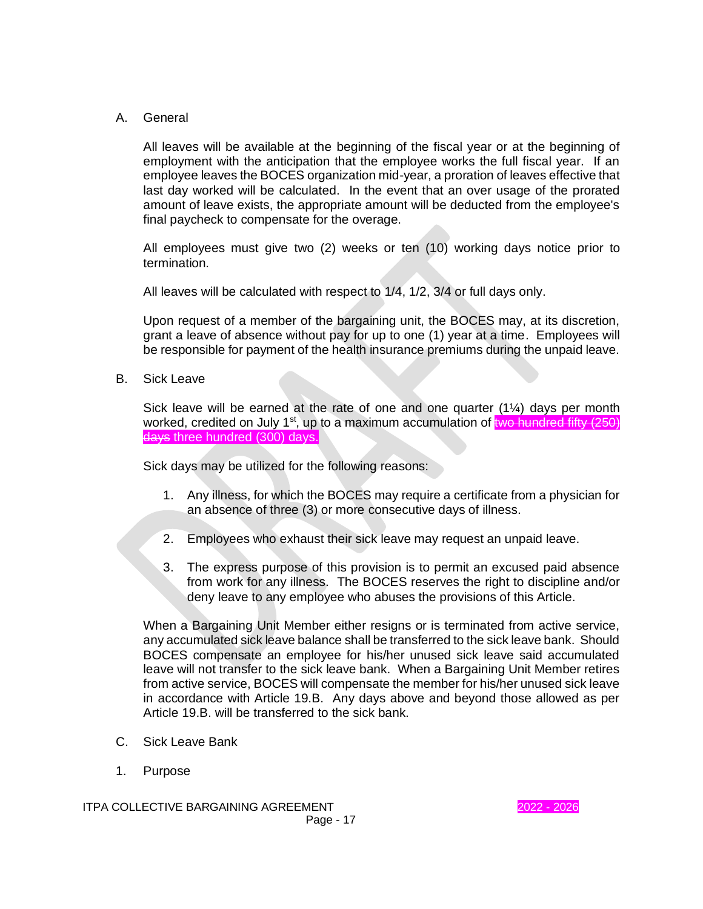# A. General

All leaves will be available at the beginning of the fiscal year or at the beginning of employment with the anticipation that the employee works the full fiscal year. If an employee leaves the BOCES organization mid-year, a proration of leaves effective that last day worked will be calculated. In the event that an over usage of the prorated amount of leave exists, the appropriate amount will be deducted from the employee's final paycheck to compensate for the overage.

All employees must give two (2) weeks or ten (10) working days notice prior to termination.

All leaves will be calculated with respect to 1/4, 1/2, 3/4 or full days only.

Upon request of a member of the bargaining unit, the BOCES may, at its discretion, grant a leave of absence without pay for up to one (1) year at a time. Employees will be responsible for payment of the health insurance premiums during the unpaid leave.

B. Sick Leave

Sick leave will be earned at the rate of one and one quarter  $(1\frac{1}{4})$  days per month worked, credited on July 1<sup>st</sup>, up to a maximum accumulation of two hundred fifty  $(250)$ days three hundred (300) days.

Sick days may be utilized for the following reasons:

- 1. Any illness, for which the BOCES may require a certificate from a physician for an absence of three (3) or more consecutive days of illness.
- 2. Employees who exhaust their sick leave may request an unpaid leave.
- 3. The express purpose of this provision is to permit an excused paid absence from work for any illness. The BOCES reserves the right to discipline and/or deny leave to any employee who abuses the provisions of this Article.

When a Bargaining Unit Member either resigns or is terminated from active service, any accumulated sick leave balance shall be transferred to the sick leave bank. Should BOCES compensate an employee for his/her unused sick leave said accumulated leave will not transfer to the sick leave bank. When a Bargaining Unit Member retires from active service, BOCES will compensate the member for his/her unused sick leave in accordance with Article 19.B. Any days above and beyond those allowed as per Article 19.B. will be transferred to the sick bank.

- C. Sick Leave Bank
- 1. Purpose

ITPA COLLECTIVE BARGAINING AGREEMENT **1999 12021 - 2026** 2022 - 2026 Page - 17

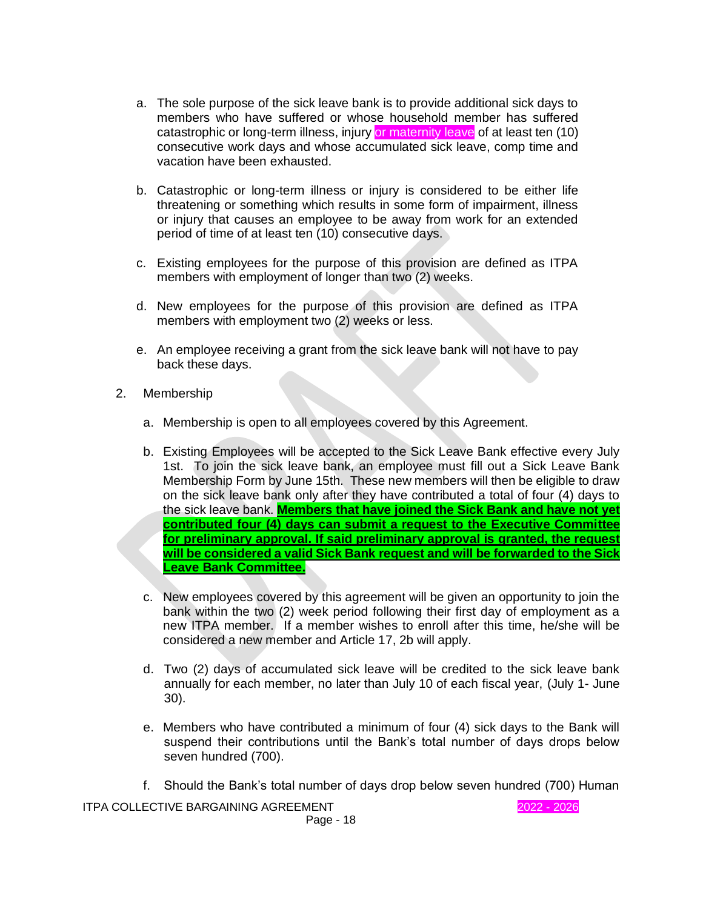- a. The sole purpose of the sick leave bank is to provide additional sick days to members who have suffered or whose household member has suffered catastrophic or long-term illness, injury or maternity leave of at least ten (10) consecutive work days and whose accumulated sick leave, comp time and vacation have been exhausted.
- b. Catastrophic or long-term illness or injury is considered to be either life threatening or something which results in some form of impairment, illness or injury that causes an employee to be away from work for an extended period of time of at least ten (10) consecutive days.
- c. Existing employees for the purpose of this provision are defined as ITPA members with employment of longer than two (2) weeks.
- d. New employees for the purpose of this provision are defined as ITPA members with employment two (2) weeks or less.
- e. An employee receiving a grant from the sick leave bank will not have to pay back these days.
- 2. Membership
	- a. Membership is open to all employees covered by this Agreement.
	- b. Existing Employees will be accepted to the Sick Leave Bank effective every July 1st. To join the sick leave bank, an employee must fill out a Sick Leave Bank Membership Form by June 15th. These new members will then be eligible to draw on the sick leave bank only after they have contributed a total of four (4) days to the sick leave bank. **Members that have joined the Sick Bank and have not yet contributed four (4) days can submit a request to the Executive Committee for preliminary approval. If said preliminary approval is granted, the request will be considered a valid Sick Bank request and will be forwarded to the Sick Leave Bank Committee.**
	- c. New employees covered by this agreement will be given an opportunity to join the bank within the two (2) week period following their first day of employment as a new ITPA member. If a member wishes to enroll after this time, he/she will be considered a new member and Article 17, 2b will apply.
	- d. Two (2) days of accumulated sick leave will be credited to the sick leave bank annually for each member, no later than July 10 of each fiscal year, (July 1- June 30).
	- e. Members who have contributed a minimum of four (4) sick days to the Bank will suspend their contributions until the Bank's total number of days drops below seven hundred (700).
	- f. Should the Bank's total number of days drop below seven hundred (700) Human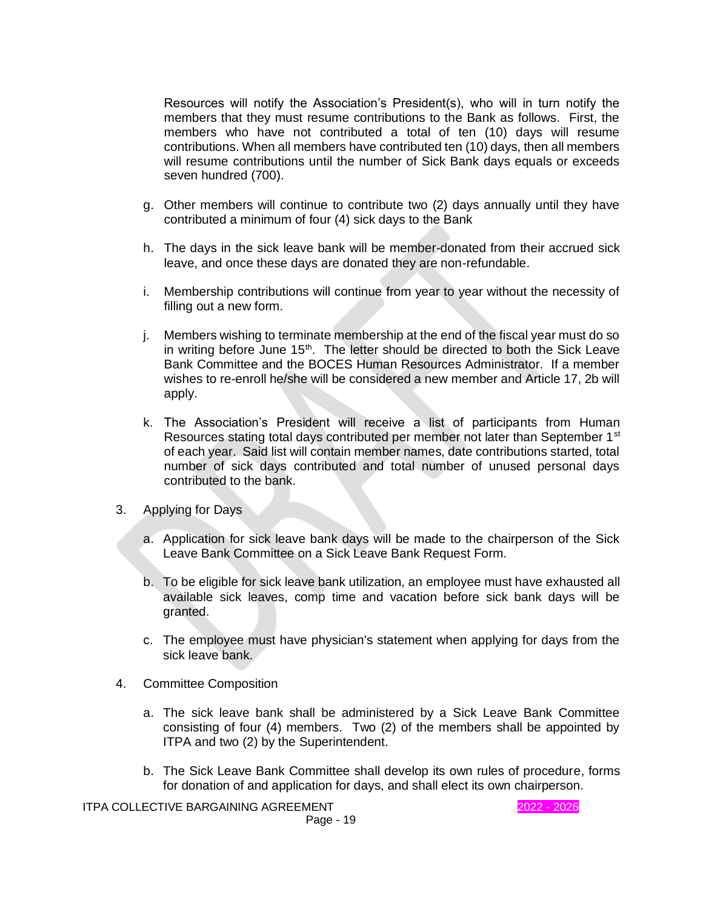Resources will notify the Association's President(s), who will in turn notify the members that they must resume contributions to the Bank as follows. First, the members who have not contributed a total of ten (10) days will resume contributions. When all members have contributed ten (10) days, then all members will resume contributions until the number of Sick Bank days equals or exceeds seven hundred (700).

- g. Other members will continue to contribute two (2) days annually until they have contributed a minimum of four (4) sick days to the Bank
- h. The days in the sick leave bank will be member-donated from their accrued sick leave, and once these days are donated they are non-refundable.
- i. Membership contributions will continue from year to year without the necessity of filling out a new form.
- j. Members wishing to terminate membership at the end of the fiscal year must do so in writing before June  $15<sup>th</sup>$ . The letter should be directed to both the Sick Leave Bank Committee and the BOCES Human Resources Administrator. If a member wishes to re-enroll he/she will be considered a new member and Article 17, 2b will apply.
- k. The Association's President will receive a list of participants from Human Resources stating total days contributed per member not later than September 1<sup>st</sup> of each year. Said list will contain member names, date contributions started, total number of sick days contributed and total number of unused personal days contributed to the bank.
- 3. Applying for Days
	- a. Application for sick leave bank days will be made to the chairperson of the Sick Leave Bank Committee on a Sick Leave Bank Request Form.
	- b. To be eligible for sick leave bank utilization, an employee must have exhausted all available sick leaves, comp time and vacation before sick bank days will be granted.
	- c. The employee must have physician's statement when applying for days from the sick leave bank.
- 4. Committee Composition
	- a. The sick leave bank shall be administered by a Sick Leave Bank Committee consisting of four (4) members. Two (2) of the members shall be appointed by ITPA and two (2) by the Superintendent.
	- b. The Sick Leave Bank Committee shall develop its own rules of procedure, forms for donation of and application for days, and shall elect its own chairperson.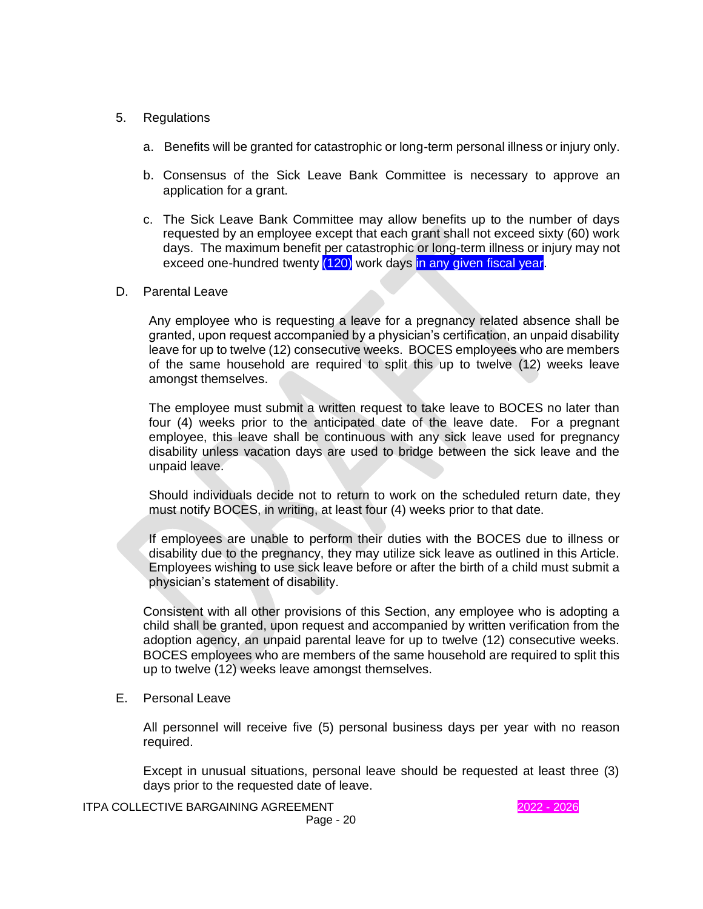- 5. Regulations
	- a. Benefits will be granted for catastrophic or long-term personal illness or injury only.
	- b. Consensus of the Sick Leave Bank Committee is necessary to approve an application for a grant.
	- c. The Sick Leave Bank Committee may allow benefits up to the number of days requested by an employee except that each grant shall not exceed sixty (60) work days. The maximum benefit per catastrophic or long-term illness or injury may not exceed one-hundred twenty (120) work days in any given fiscal year.
- D. Parental Leave

Any employee who is requesting a leave for a pregnancy related absence shall be granted, upon request accompanied by a physician's certification, an unpaid disability leave for up to twelve (12) consecutive weeks. BOCES employees who are members of the same household are required to split this up to twelve (12) weeks leave amongst themselves.

The employee must submit a written request to take leave to BOCES no later than four (4) weeks prior to the anticipated date of the leave date. For a pregnant employee, this leave shall be continuous with any sick leave used for pregnancy disability unless vacation days are used to bridge between the sick leave and the unpaid leave.

Should individuals decide not to return to work on the scheduled return date, they must notify BOCES, in writing, at least four (4) weeks prior to that date.

If employees are unable to perform their duties with the BOCES due to illness or disability due to the pregnancy, they may utilize sick leave as outlined in this Article. Employees wishing to use sick leave before or after the birth of a child must submit a physician's statement of disability.

Consistent with all other provisions of this Section, any employee who is adopting a child shall be granted, upon request and accompanied by written verification from the adoption agency, an unpaid parental leave for up to twelve (12) consecutive weeks. BOCES employees who are members of the same household are required to split this up to twelve (12) weeks leave amongst themselves.

#### E. Personal Leave

All personnel will receive five (5) personal business days per year with no reason required.

Except in unusual situations, personal leave should be requested at least three (3) days prior to the requested date of leave.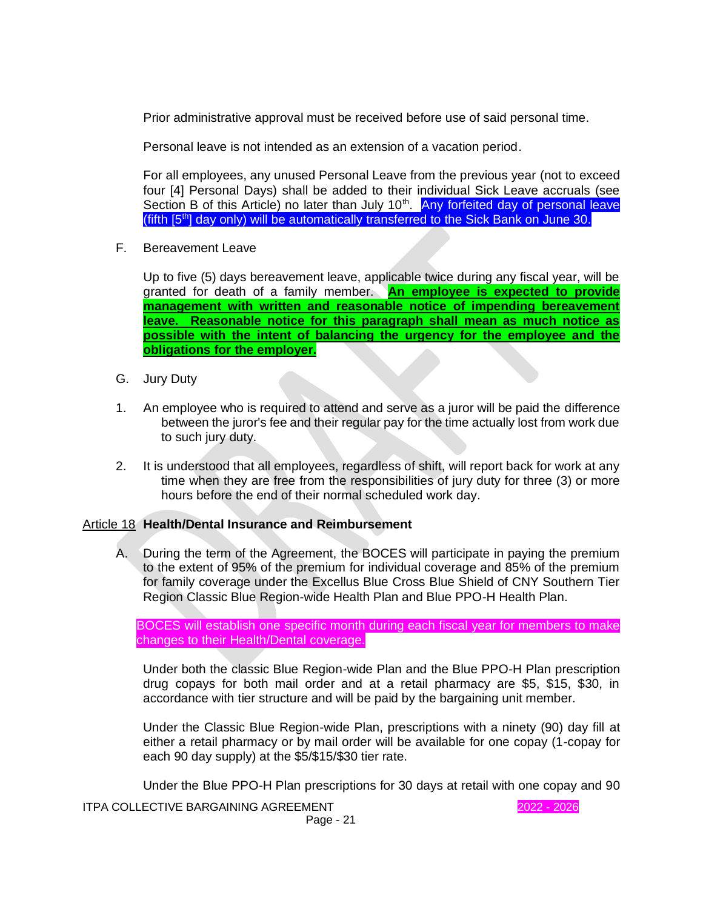Prior administrative approval must be received before use of said personal time.

Personal leave is not intended as an extension of a vacation period.

For all employees, any unused Personal Leave from the previous year (not to exceed four [4] Personal Days) shall be added to their individual Sick Leave accruals (see Section B of this Article) no later than July 10<sup>th</sup>. Any forfeited day of personal leave (fifth [5<sup>th</sup>] day only) will be automatically transferred to the Sick Bank on June 30.

F. Bereavement Leave

Up to five (5) days bereavement leave, applicable twice during any fiscal year, will be granted for death of a family member. **An employee is expected to provide management with written and reasonable notice of impending bereavement leave. Reasonable notice for this paragraph shall mean as much notice as possible with the intent of balancing the urgency for the employee and the obligations for the employer.**

- G. Jury Duty
- 1. An employee who is required to attend and serve as a juror will be paid the difference between the juror's fee and their regular pay for the time actually lost from work due to such jury duty.
- 2. It is understood that all employees, regardless of shift, will report back for work at any time when they are free from the responsibilities of jury duty for three (3) or more hours before the end of their normal scheduled work day.

# Article 18 **Health/Dental Insurance and Reimbursement**

A. During the term of the Agreement, the BOCES will participate in paying the premium to the extent of 95% of the premium for individual coverage and 85% of the premium for family coverage under the Excellus Blue Cross Blue Shield of CNY Southern Tier Region Classic Blue Region-wide Health Plan and Blue PPO-H Health Plan.

BOCES will establish one specific month during each fiscal year for members to make changes to their Health/Dental coverage.

Under both the classic Blue Region-wide Plan and the Blue PPO-H Plan prescription drug copays for both mail order and at a retail pharmacy are \$5, \$15, \$30, in accordance with tier structure and will be paid by the bargaining unit member.

Under the Classic Blue Region-wide Plan, prescriptions with a ninety (90) day fill at either a retail pharmacy or by mail order will be available for one copay (1-copay for each 90 day supply) at the \$5/\$15/\$30 tier rate.

Under the Blue PPO-H Plan prescriptions for 30 days at retail with one copay and 90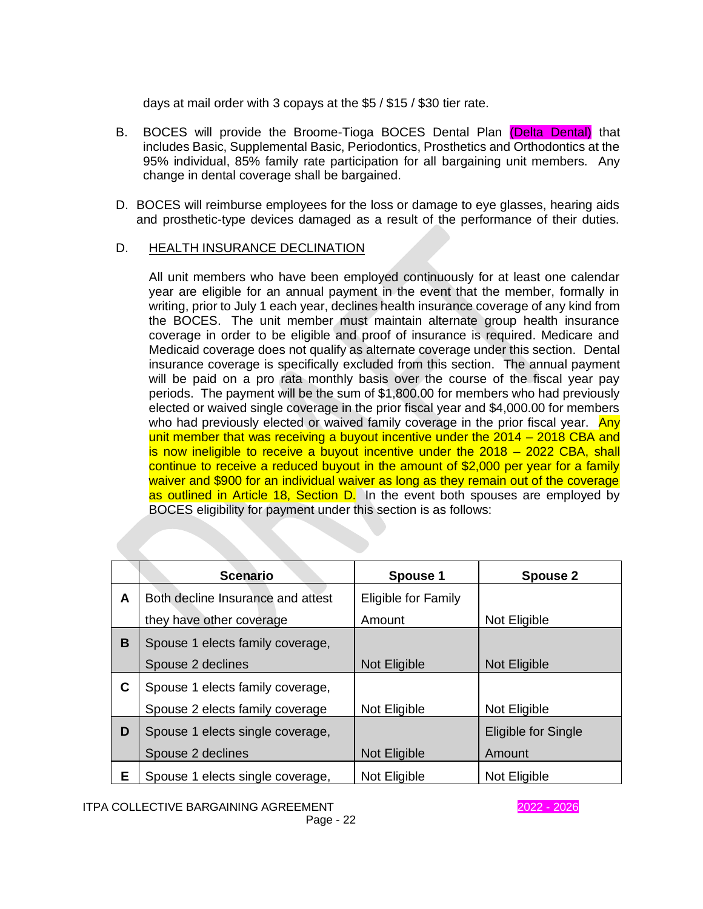days at mail order with 3 copays at the \$5 / \$15 / \$30 tier rate.

- B. BOCES will provide the Broome-Tioga BOCES Dental Plan (Delta Dental) that includes Basic, Supplemental Basic, Periodontics, Prosthetics and Orthodontics at the 95% individual, 85% family rate participation for all bargaining unit members. Any change in dental coverage shall be bargained.
- D. BOCES will reimburse employees for the loss or damage to eye glasses, hearing aids and prosthetic-type devices damaged as a result of the performance of their duties.

# D. HEALTH INSURANCE DECLINATION

All unit members who have been employed continuously for at least one calendar year are eligible for an annual payment in the event that the member, formally in writing, prior to July 1 each year, declines health insurance coverage of any kind from the BOCES. The unit member must maintain alternate group health insurance coverage in order to be eligible and proof of insurance is required. Medicare and Medicaid coverage does not qualify as alternate coverage under this section. Dental insurance coverage is specifically excluded from this section. The annual payment will be paid on a pro rata monthly basis over the course of the fiscal year pay periods. The payment will be the sum of \$1,800.00 for members who had previously elected or waived single coverage in the prior fiscal year and \$4,000.00 for members who had previously elected or waived family coverage in the prior fiscal year. Any unit member that was receiving a buyout incentive under the 2014 – 2018 CBA and is now ineligible to receive a buyout incentive under the 2018 – 2022 CBA, shall continue to receive a reduced buyout in the amount of \$2,000 per year for a family waiver and \$900 for an individual waiver as long as they remain out of the coverage as outlined in Article 18, Section D. In the event both spouses are employed by BOCES eligibility for payment under this section is as follows:

|   | <b>Scenario</b>                   | <b>Spouse 1</b>     | <b>Spouse 2</b>     |
|---|-----------------------------------|---------------------|---------------------|
| A | Both decline Insurance and attest | Eligible for Family |                     |
|   | they have other coverage          | Amount              | Not Eligible        |
| В | Spouse 1 elects family coverage,  |                     |                     |
|   | Spouse 2 declines                 | <b>Not Eligible</b> | <b>Not Eligible</b> |
| C | Spouse 1 elects family coverage,  |                     |                     |
|   | Spouse 2 elects family coverage   | Not Eligible        | Not Eligible        |
| D | Spouse 1 elects single coverage,  |                     | Eligible for Single |
|   | Spouse 2 declines                 | Not Eligible        | Amount              |
| Е | Spouse 1 elects single coverage,  | Not Eligible        | Not Eligible        |

ITPA COLLECTIVE BARGAINING AGREEMENT **1999 12021 - 2026** 2022 - 2026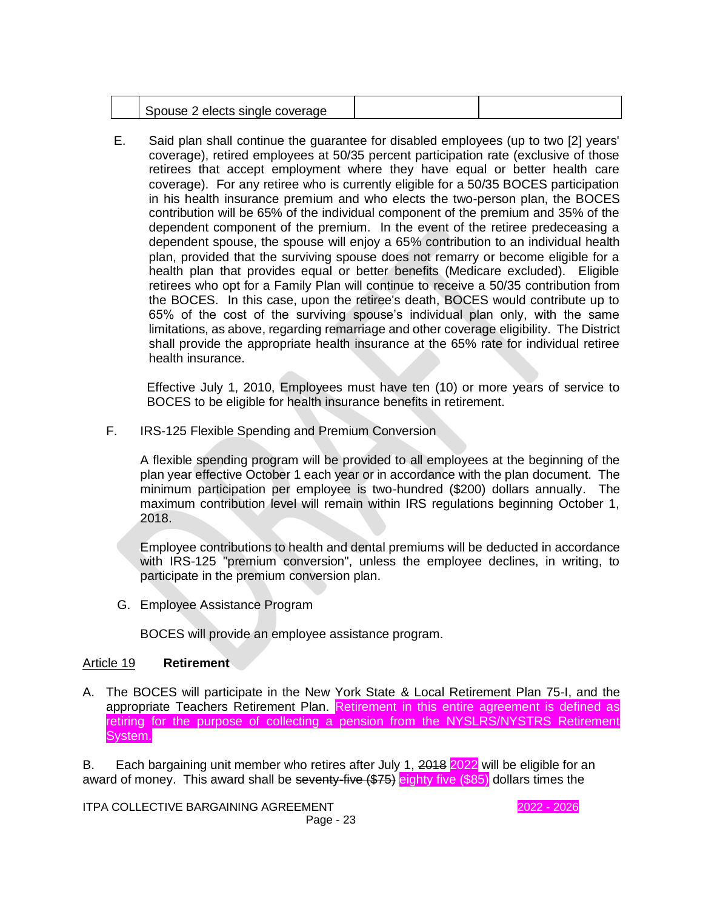| 2 elects single coverage<br>$-$ |  |
|---------------------------------|--|
|                                 |  |

E. Said plan shall continue the guarantee for disabled employees (up to two [2] years' coverage), retired employees at 50/35 percent participation rate (exclusive of those retirees that accept employment where they have equal or better health care coverage). For any retiree who is currently eligible for a 50/35 BOCES participation in his health insurance premium and who elects the two-person plan, the BOCES contribution will be 65% of the individual component of the premium and 35% of the dependent component of the premium. In the event of the retiree predeceasing a dependent spouse, the spouse will enjoy a 65% contribution to an individual health plan, provided that the surviving spouse does not remarry or become eligible for a health plan that provides equal or better benefits (Medicare excluded). Eligible retirees who opt for a Family Plan will continue to receive a 50/35 contribution from the BOCES. In this case, upon the retiree's death, BOCES would contribute up to 65% of the cost of the surviving spouse's individual plan only, with the same limitations, as above, regarding remarriage and other coverage eligibility. The District shall provide the appropriate health insurance at the 65% rate for individual retiree health insurance.

Effective July 1, 2010, Employees must have ten (10) or more years of service to BOCES to be eligible for health insurance benefits in retirement.

F. IRS-125 Flexible Spending and Premium Conversion

A flexible spending program will be provided to all employees at the beginning of the plan year effective October 1 each year or in accordance with the plan document. The minimum participation per employee is two-hundred (\$200) dollars annually. The maximum contribution level will remain within IRS regulations beginning October 1, 2018.

Employee contributions to health and dental premiums will be deducted in accordance with IRS-125 "premium conversion", unless the employee declines, in writing, to participate in the premium conversion plan.

G. Employee Assistance Program

BOCES will provide an employee assistance program.

#### Article 19 **Retirement**

A. The BOCES will participate in the New York State & Local Retirement Plan 75-I, and the appropriate Teachers Retirement Plan. Retirement in this entire agreement is defined as retiring for the purpose of collecting a pension from the NYSLRS/NYSTRS Retirement System.

B. Each bargaining unit member who retires after July 1, 2018 2022 will be eligible for an award of money. This award shall be seventy-five (\$75) eighty five (\$85) dollars times the

ITPA COLLECTIVE BARGAINING AGREEMENT 2022 - 2026 Page - 23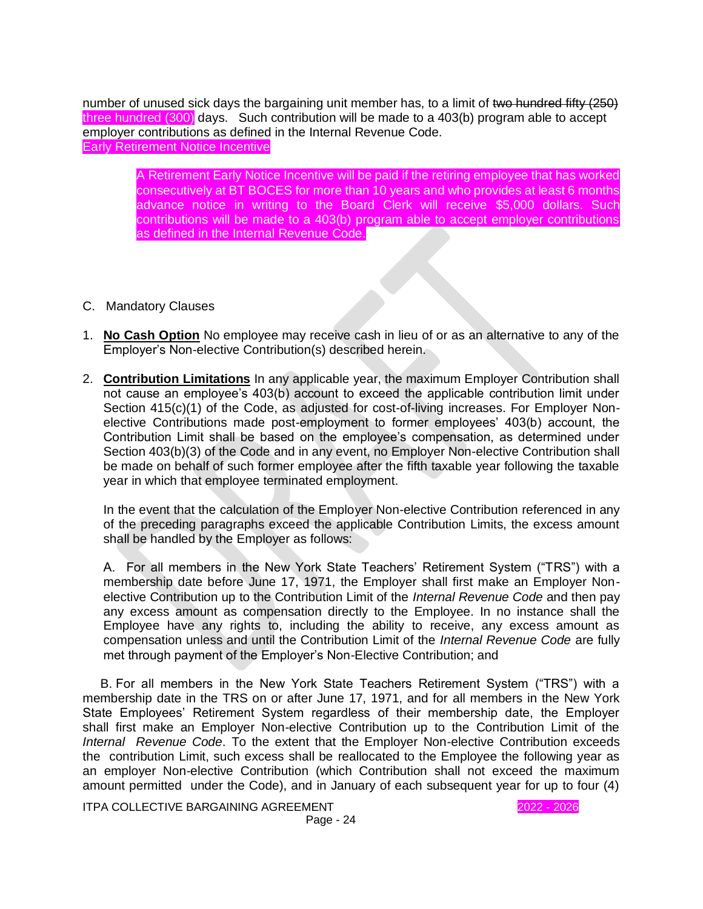number of unused sick days the bargaining unit member has, to a limit of two hundred fifty (250) three hundred (300) days. Such contribution will be made to a 403(b) program able to accept employer contributions as defined in the Internal Revenue Code. Early Retirement Notice Incentive

> A Retirement Early Notice Incentive will be paid if the retiring employee that has worked consecutively at BT BOCES for more than 10 years and who provides at least 6 months advance notice in writing to the Board Clerk will receive \$5,000 dollars. Such contributions will be made to a 403(b) program able to accept employer contributions as defined in the Internal Revenue Code.

- C. Mandatory Clauses
- 1. **No Cash Option** No employee may receive cash in lieu of or as an alternative to any of the Employer's Non-elective Contribution(s) described herein.
- 2. **Contribution Limitations** In any applicable year, the maximum Employer Contribution shall not cause an employee's 403(b) account to exceed the applicable contribution limit under Section 415(c)(1) of the Code, as adjusted for cost-of-living increases. For Employer Nonelective Contributions made post-employment to former employees' 403(b) account, the Contribution Limit shall be based on the employee's compensation, as determined under Section 403(b)(3) of the Code and in any event, no Employer Non-elective Contribution shall be made on behalf of such former employee after the fifth taxable year following the taxable year in which that employee terminated employment.

In the event that the calculation of the Employer Non-elective Contribution referenced in any of the preceding paragraphs exceed the applicable Contribution Limits, the excess amount shall be handled by the Employer as follows:

A. For all members in the New York State Teachers' Retirement System ("TRS") with a membership date before June 17, 1971, the Employer shall first make an Employer Nonelective Contribution up to the Contribution Limit of the *Internal Revenue Code* and then pay any excess amount as compensation directly to the Employee. In no instance shall the Employee have any rights to, including the ability to receive, any excess amount as compensation unless and until the Contribution Limit of the *Internal Revenue Code* are fully met through payment of the Employer's Non-Elective Contribution; and

 B. For all members in the New York State Teachers Retirement System ("TRS") with a membership date in the TRS on or after June 17, 1971, and for all members in the New York State Employees' Retirement System regardless of their membership date, the Employer shall first make an Employer Non-elective Contribution up to the Contribution Limit of the *Internal Revenue Code*. To the extent that the Employer Non-elective Contribution exceeds the contribution Limit, such excess shall be reallocated to the Employee the following year as an employer Non-elective Contribution (which Contribution shall not exceed the maximum amount permitted under the Code), and in January of each subsequent year for up to four (4)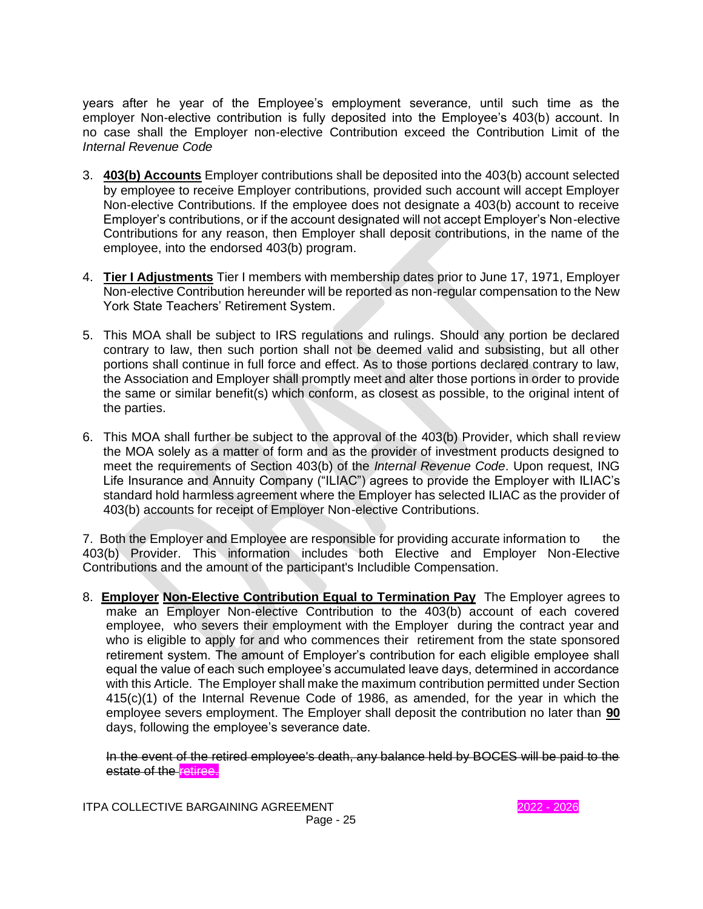years after he year of the Employee's employment severance, until such time as the employer Non-elective contribution is fully deposited into the Employee's 403(b) account. In no case shall the Employer non-elective Contribution exceed the Contribution Limit of the *Internal Revenue Code*

- 3. **403(b) Accounts** Employer contributions shall be deposited into the 403(b) account selected by employee to receive Employer contributions, provided such account will accept Employer Non-elective Contributions. If the employee does not designate a 403(b) account to receive Employer's contributions, or if the account designated will not accept Employer's Non-elective Contributions for any reason, then Employer shall deposit contributions, in the name of the employee, into the endorsed 403(b) program.
- 4. **Tier I Adjustments** Tier I members with membership dates prior to June 17, 1971, Employer Non-elective Contribution hereunder will be reported as non-regular compensation to the New York State Teachers' Retirement System.
- 5. This MOA shall be subject to IRS regulations and rulings. Should any portion be declared contrary to law, then such portion shall not be deemed valid and subsisting, but all other portions shall continue in full force and effect. As to those portions declared contrary to law, the Association and Employer shall promptly meet and alter those portions in order to provide the same or similar benefit(s) which conform, as closest as possible, to the original intent of the parties.
- 6. This MOA shall further be subject to the approval of the 403(b) Provider, which shall review the MOA solely as a matter of form and as the provider of investment products designed to meet the requirements of Section 403(b) of the *Internal Revenue Code*. Upon request, ING Life Insurance and Annuity Company ("ILIAC") agrees to provide the Employer with ILIAC's standard hold harmless agreement where the Employer has selected ILIAC as the provider of 403(b) accounts for receipt of Employer Non-elective Contributions.

7. Both the Employer and Employee are responsible for providing accurate information to the 403(b) Provider. This information includes both Elective and Employer Non-Elective Contributions and the amount of the participant's Includible Compensation.

8. **Employer Non-Elective Contribution Equal to Termination Pay** The Employer agrees to make an Employer Non-elective Contribution to the 403(b) account of each covered employee, who severs their employment with the Employer during the contract year and who is eligible to apply for and who commences their retirement from the state sponsored retirement system. The amount of Employer's contribution for each eligible employee shall equal the value of each such employee's accumulated leave days, determined in accordance with this Article. The Employer shall make the maximum contribution permitted under Section 415(c)(1) of the Internal Revenue Code of 1986, as amended, for the year in which the employee severs employment. The Employer shall deposit the contribution no later than **90** days, following the employee's severance date.

In the event of the retired employee's death, any balance held by BOCES will be paid to the estate of the retiree.

ITPA COLLECTIVE BARGAINING AGREEMENT 2022 - 2026 Page - 25

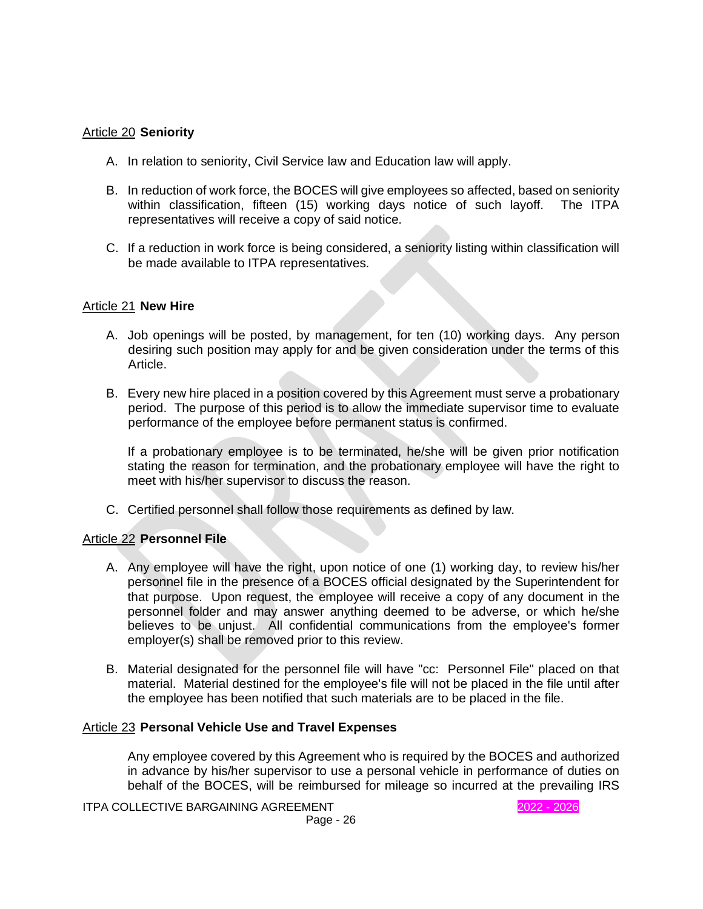# Article 20 **Seniority**

- A. In relation to seniority, Civil Service law and Education law will apply.
- B. In reduction of work force, the BOCES will give employees so affected, based on seniority within classification, fifteen (15) working days notice of such layoff. The ITPA representatives will receive a copy of said notice.
- C. If a reduction in work force is being considered, a seniority listing within classification will be made available to ITPA representatives.

#### Article 21 **New Hire**

- A. Job openings will be posted, by management, for ten (10) working days. Any person desiring such position may apply for and be given consideration under the terms of this Article.
- B. Every new hire placed in a position covered by this Agreement must serve a probationary period. The purpose of this period is to allow the immediate supervisor time to evaluate performance of the employee before permanent status is confirmed.

If a probationary employee is to be terminated, he/she will be given prior notification stating the reason for termination, and the probationary employee will have the right to meet with his/her supervisor to discuss the reason.

C. Certified personnel shall follow those requirements as defined by law.

# Article 22 **Personnel File**

- A. Any employee will have the right, upon notice of one (1) working day, to review his/her personnel file in the presence of a BOCES official designated by the Superintendent for that purpose. Upon request, the employee will receive a copy of any document in the personnel folder and may answer anything deemed to be adverse, or which he/she believes to be unjust. All confidential communications from the employee's former employer(s) shall be removed prior to this review.
- B. Material designated for the personnel file will have "cc: Personnel File" placed on that material. Material destined for the employee's file will not be placed in the file until after the employee has been notified that such materials are to be placed in the file.

#### Article 23 **Personal Vehicle Use and Travel Expenses**

Any employee covered by this Agreement who is required by the BOCES and authorized in advance by his/her supervisor to use a personal vehicle in performance of duties on behalf of the BOCES, will be reimbursed for mileage so incurred at the prevailing IRS

ITPA COLLECTIVE BARGAINING AGREEMENT **1999 12021 - 2026** 2022 - 2026